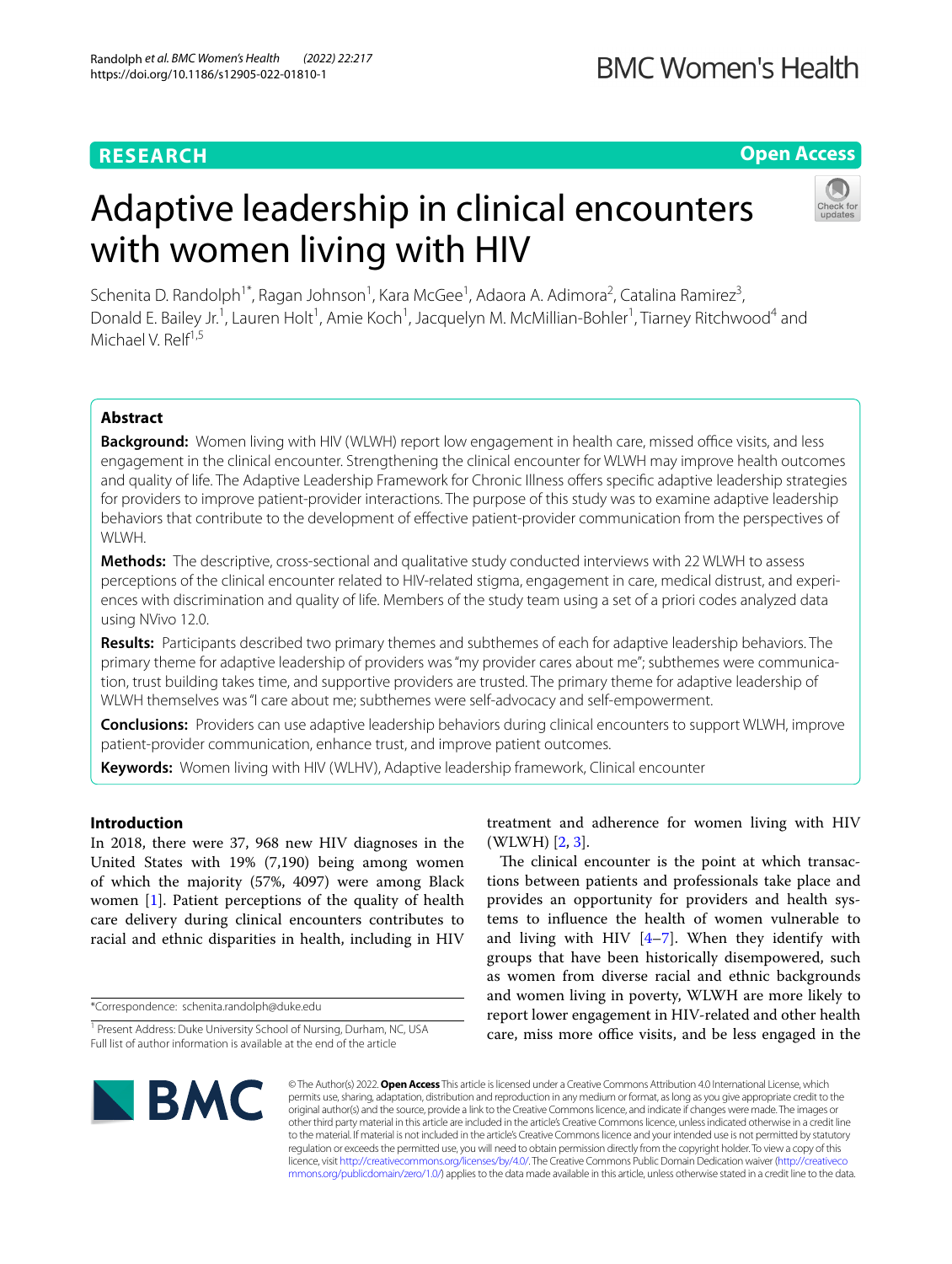# **RESEARCH**

# Adaptive leadership in clinical encounters with women living with HIV

Schenita D. Randolph<sup>1\*</sup>, Ragan Johnson<sup>1</sup>, Kara McGee<sup>1</sup>, Adaora A. Adimora<sup>2</sup>, Catalina Ramirez<sup>3</sup>, Donald E. Bailey Jr.<sup>1</sup>, Lauren Holt<sup>1</sup>, Amie Koch<sup>1</sup>, Jacquelyn M. McMillian-Bohler<sup>1</sup>, Tiarney Ritchwood<sup>4</sup> and Michael V. Relf<sup>1,5</sup>

# **Abstract**

**Background:** Women living with HIV (WLWH) report low engagement in health care, missed office visits, and less engagement in the clinical encounter. Strengthening the clinical encounter for WLWH may improve health outcomes and quality of life. The Adaptive Leadership Framework for Chronic Illness offers specific adaptive leadership strategies for providers to improve patient-provider interactions. The purpose of this study was to examine adaptive leadership behaviors that contribute to the development of efective patient-provider communication from the perspectives of WLWH.

**Methods:** The descriptive, cross-sectional and qualitative study conducted interviews with 22 WLWH to assess perceptions of the clinical encounter related to HIV-related stigma, engagement in care, medical distrust, and experiences with discrimination and quality of life. Members of the study team using a set of a priori codes analyzed data using NVivo 12.0.

**Results:** Participants described two primary themes and subthemes of each for adaptive leadership behaviors. The primary theme for adaptive leadership of providers was "my provider cares about me"; subthemes were communication, trust building takes time, and supportive providers are trusted. The primary theme for adaptive leadership of WLWH themselves was "I care about me; subthemes were self-advocacy and self-empowerment.

**Conclusions:** Providers can use adaptive leadership behaviors during clinical encounters to support WLWH, improve patient-provider communication, enhance trust, and improve patient outcomes.

**Keywords:** Women living with HIV (WLHV), Adaptive leadership framework, Clinical encounter

## **Introduction**

In 2018, there were 37, 968 new HIV diagnoses in the United States with 19% (7,190) being among women of which the majority (57%, 4097) were among Black women [[1\]](#page-7-0). Patient perceptions of the quality of health care delivery during clinical encounters contributes to racial and ethnic disparities in health, including in HIV

\*Correspondence: schenita.randolph@duke.edu

treatment and adherence for women living with HIV (WLWH) [\[2](#page-7-1), [3\]](#page-7-2).

The clinical encounter is the point at which transactions between patients and professionals take place and provides an opportunity for providers and health systems to infuence the health of women vulnerable to and living with HIV  $[4-7]$  $[4-7]$ . When they identify with groups that have been historically disempowered, such as women from diverse racial and ethnic backgrounds and women living in poverty, WLWH are more likely to report lower engagement in HIV-related and other health care, miss more office visits, and be less engaged in the



**BMC Women's Health** 



**Open Access**

© The Author(s) 2022. **Open Access** This article is licensed under a Creative Commons Attribution 4.0 International License, which permits use, sharing, adaptation, distribution and reproduction in any medium or format, as long as you give appropriate credit to the original author(s) and the source, provide a link to the Creative Commons licence, and indicate if changes were made. The images or other third party material in this article are included in the article's Creative Commons licence, unless indicated otherwise in a credit line to the material. If material is not included in the article's Creative Commons licence and your intended use is not permitted by statutory regulation or exceeds the permitted use, you will need to obtain permission directly from the copyright holder. To view a copy of this licence, visit [http://creativecommons.org/licenses/by/4.0/.](http://creativecommons.org/licenses/by/4.0/) The Creative Commons Public Domain Dedication waiver ([http://creativeco](http://creativecommons.org/publicdomain/zero/1.0/) [mmons.org/publicdomain/zero/1.0/](http://creativecommons.org/publicdomain/zero/1.0/)) applies to the data made available in this article, unless otherwise stated in a credit line to the data.

<sup>&</sup>lt;sup>1</sup> Present Address: Duke University School of Nursing, Durham, NC, USA Full list of author information is available at the end of the article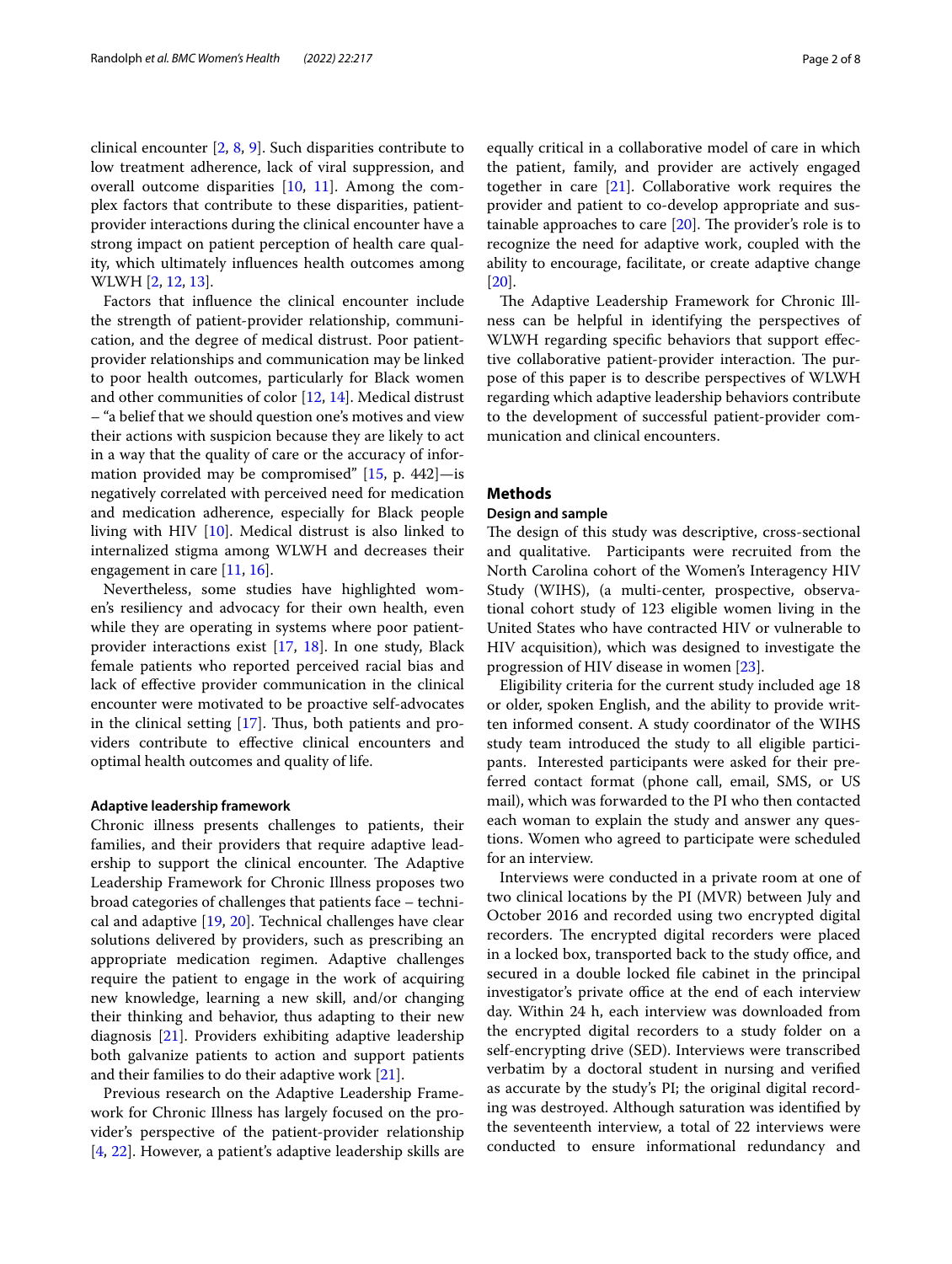clinical encounter [\[2,](#page-7-1) [8,](#page-7-5) [9\]](#page-7-6). Such disparities contribute to low treatment adherence, lack of viral suppression, and overall outcome disparities [[10](#page-7-7), [11](#page-7-8)]. Among the complex factors that contribute to these disparities, patientprovider interactions during the clinical encounter have a strong impact on patient perception of health care quality, which ultimately infuences health outcomes among WLWH [[2,](#page-7-1) [12,](#page-7-9) [13](#page-7-10)].

Factors that infuence the clinical encounter include the strength of patient-provider relationship, communication, and the degree of medical distrust. Poor patientprovider relationships and communication may be linked to poor health outcomes, particularly for Black women and other communities of color [[12](#page-7-9), [14\]](#page-7-11). Medical distrust – "a belief that we should question one's motives and view their actions with suspicion because they are likely to act in a way that the quality of care or the accuracy of information provided may be compromised"  $[15, p. 442]$  $[15, p. 442]$ —is negatively correlated with perceived need for medication and medication adherence, especially for Black people living with HIV [[10](#page-7-7)]. Medical distrust is also linked to internalized stigma among WLWH and decreases their engagement in care [[11](#page-7-8), [16\]](#page-7-13).

Nevertheless, some studies have highlighted women's resiliency and advocacy for their own health, even while they are operating in systems where poor patientprovider interactions exist [[17,](#page-7-14) [18\]](#page-7-15). In one study, Black female patients who reported perceived racial bias and lack of efective provider communication in the clinical encounter were motivated to be proactive self-advocates in the clinical setting  $[17]$  $[17]$ . Thus, both patients and providers contribute to efective clinical encounters and optimal health outcomes and quality of life.

#### **Adaptive leadership framework**

Chronic illness presents challenges to patients, their families, and their providers that require adaptive leadership to support the clinical encounter. The Adaptive Leadership Framework for Chronic Illness proposes two broad categories of challenges that patients face – technical and adaptive [\[19](#page-7-16), [20\]](#page-7-17). Technical challenges have clear solutions delivered by providers, such as prescribing an appropriate medication regimen. Adaptive challenges require the patient to engage in the work of acquiring new knowledge, learning a new skill, and/or changing their thinking and behavior, thus adapting to their new diagnosis [\[21](#page-7-18)]. Providers exhibiting adaptive leadership both galvanize patients to action and support patients and their families to do their adaptive work [[21\]](#page-7-18).

Previous research on the Adaptive Leadership Framework for Chronic Illness has largely focused on the provider's perspective of the patient-provider relationship [[4,](#page-7-3) [22\]](#page-7-19). However, a patient's adaptive leadership skills are equally critical in a collaborative model of care in which the patient, family, and provider are actively engaged together in care [[21\]](#page-7-18). Collaborative work requires the provider and patient to co-develop appropriate and sustainable approaches to care  $[20]$  $[20]$ . The provider's role is to recognize the need for adaptive work, coupled with the ability to encourage, facilitate, or create adaptive change [[20\]](#page-7-17).

The Adaptive Leadership Framework for Chronic Illness can be helpful in identifying the perspectives of WLWH regarding specifc behaviors that support efective collaborative patient-provider interaction. The purpose of this paper is to describe perspectives of WLWH regarding which adaptive leadership behaviors contribute to the development of successful patient-provider communication and clinical encounters.

#### **Methods**

#### **Design and sample**

The design of this study was descriptive, cross-sectional and qualitative. Participants were recruited from the North Carolina cohort of the Women's Interagency HIV Study (WIHS), (a multi-center, prospective, observational cohort study of 123 eligible women living in the United States who have contracted HIV or vulnerable to HIV acquisition), which was designed to investigate the progression of HIV disease in women [\[23](#page-7-20)].

Eligibility criteria for the current study included age 18 or older, spoken English, and the ability to provide written informed consent. A study coordinator of the WIHS study team introduced the study to all eligible participants. Interested participants were asked for their preferred contact format (phone call, email, SMS, or US mail), which was forwarded to the PI who then contacted each woman to explain the study and answer any questions. Women who agreed to participate were scheduled for an interview.

Interviews were conducted in a private room at one of two clinical locations by the PI (MVR) between July and October 2016 and recorded using two encrypted digital recorders. The encrypted digital recorders were placed in a locked box, transported back to the study office, and secured in a double locked fle cabinet in the principal investigator's private office at the end of each interview day. Within 24 h, each interview was downloaded from the encrypted digital recorders to a study folder on a self-encrypting drive (SED). Interviews were transcribed verbatim by a doctoral student in nursing and verifed as accurate by the study's PI; the original digital recording was destroyed. Although saturation was identifed by the seventeenth interview, a total of 22 interviews were conducted to ensure informational redundancy and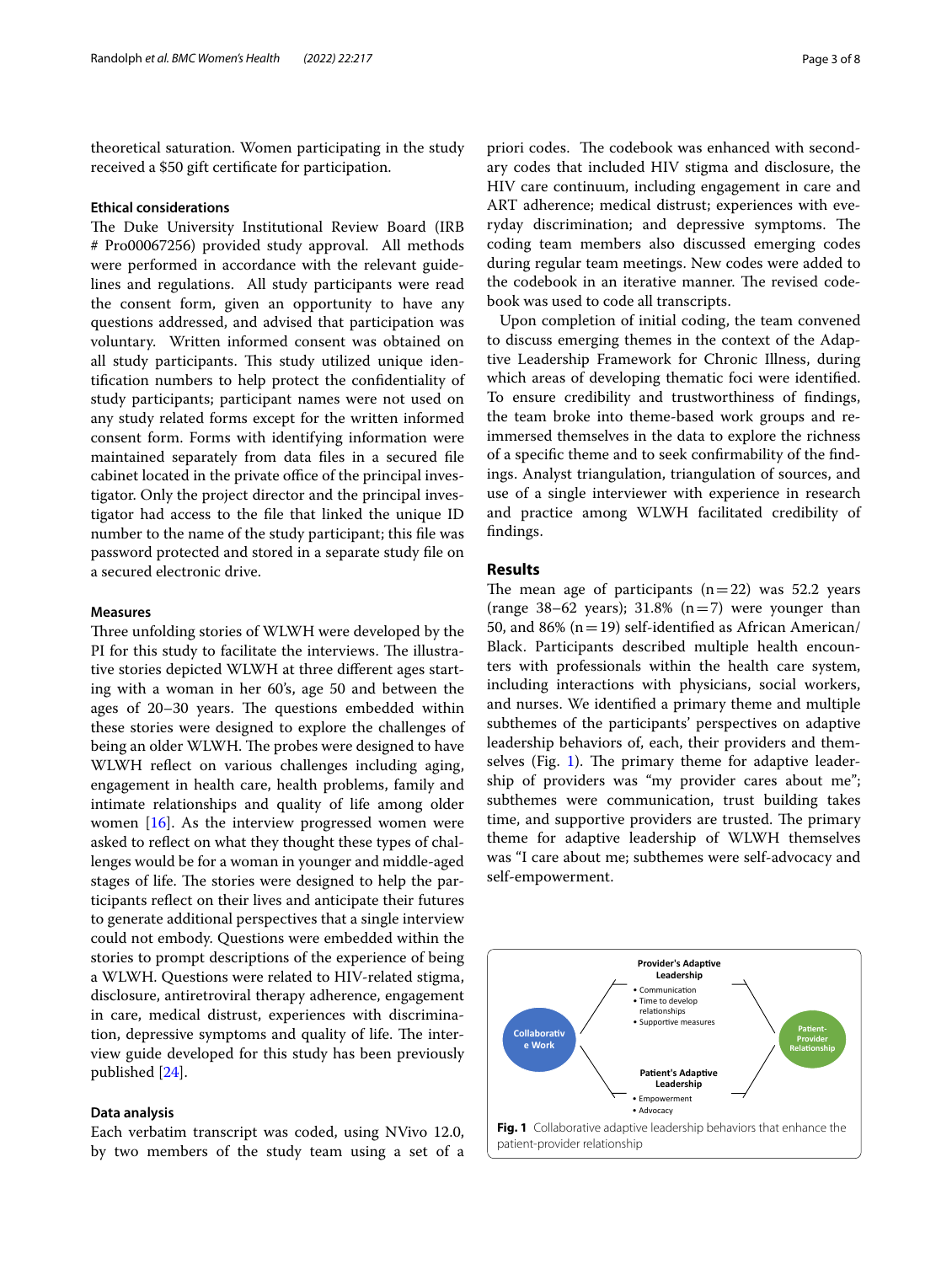theoretical saturation. Women participating in the study received a \$50 gift certifcate for participation.

#### **Ethical considerations**

The Duke University Institutional Review Board (IRB # Pro00067256) provided study approval. All methods were performed in accordance with the relevant guidelines and regulations. All study participants were read the consent form, given an opportunity to have any questions addressed, and advised that participation was voluntary. Written informed consent was obtained on all study participants. This study utilized unique identifcation numbers to help protect the confdentiality of study participants; participant names were not used on any study related forms except for the written informed consent form. Forms with identifying information were maintained separately from data fles in a secured fle cabinet located in the private office of the principal investigator. Only the project director and the principal investigator had access to the fle that linked the unique ID number to the name of the study participant; this fle was password protected and stored in a separate study fle on a secured electronic drive.

#### **Measures**

Three unfolding stories of WLWH were developed by the PI for this study to facilitate the interviews. The illustrative stories depicted WLWH at three diferent ages starting with a woman in her 60's, age 50 and between the ages of  $20-30$  years. The questions embedded within these stories were designed to explore the challenges of being an older WLWH. The probes were designed to have WLWH refect on various challenges including aging, engagement in health care, health problems, family and intimate relationships and quality of life among older women [\[16\]](#page-7-13). As the interview progressed women were asked to refect on what they thought these types of challenges would be for a woman in younger and middle-aged stages of life. The stories were designed to help the participants refect on their lives and anticipate their futures to generate additional perspectives that a single interview could not embody. Questions were embedded within the stories to prompt descriptions of the experience of being a WLWH. Questions were related to HIV-related stigma, disclosure, antiretroviral therapy adherence, engagement in care, medical distrust, experiences with discrimination, depressive symptoms and quality of life. The interview guide developed for this study has been previously published [\[24](#page-7-21)].

#### **Data analysis**

Each verbatim transcript was coded, using NVivo 12.0, by two members of the study team using a set of a

priori codes. The codebook was enhanced with secondary codes that included HIV stigma and disclosure, the HIV care continuum, including engagement in care and ART adherence; medical distrust; experiences with everyday discrimination; and depressive symptoms. The coding team members also discussed emerging codes during regular team meetings. New codes were added to the codebook in an iterative manner. The revised codebook was used to code all transcripts.

Upon completion of initial coding, the team convened to discuss emerging themes in the context of the Adaptive Leadership Framework for Chronic Illness, during which areas of developing thematic foci were identifed. To ensure credibility and trustworthiness of fndings, the team broke into theme-based work groups and reimmersed themselves in the data to explore the richness of a specifc theme and to seek confrmability of the fndings. Analyst triangulation, triangulation of sources, and use of a single interviewer with experience in research and practice among WLWH facilitated credibility of fndings.

### **Results**

The mean age of participants  $(n=22)$  was 52.2 years (range 38–62 years); 31.8%  $(n=7)$  were younger than 50, and 86% ( $n=19$ ) self-identified as African American/ Black. Participants described multiple health encounters with professionals within the health care system, including interactions with physicians, social workers, and nurses. We identifed a primary theme and multiple subthemes of the participants' perspectives on adaptive leadership behaviors of, each, their providers and them-selves (Fig. [1\)](#page-2-0). The primary theme for adaptive leadership of providers was "my provider cares about me"; subthemes were communication, trust building takes time, and supportive providers are trusted. The primary theme for adaptive leadership of WLWH themselves was "I care about me; subthemes were self-advocacy and self-empowerment.

<span id="page-2-0"></span>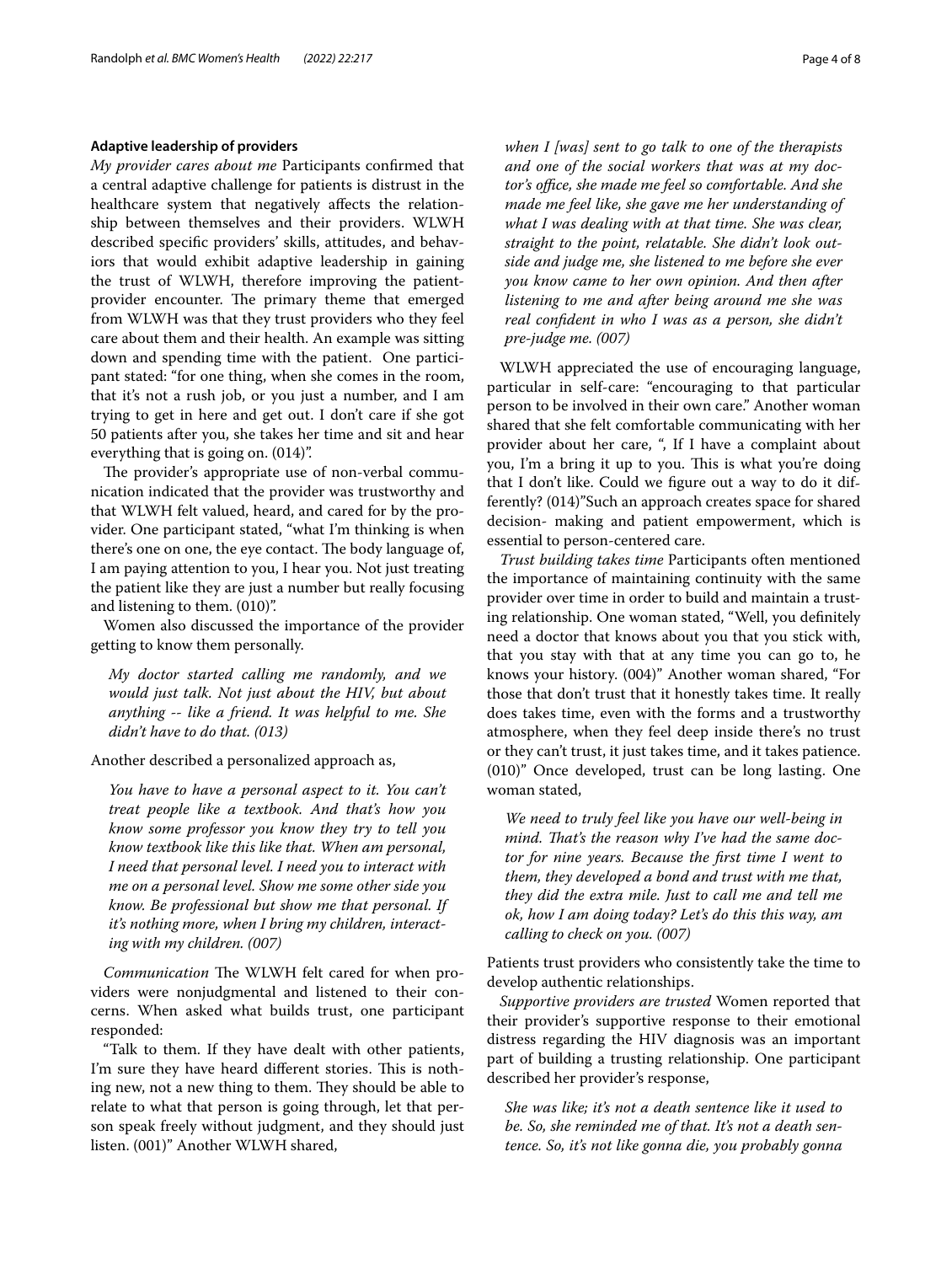#### **Adaptive leadership of providers**

*My provider cares about me* Participants confrmed that a central adaptive challenge for patients is distrust in the healthcare system that negatively afects the relationship between themselves and their providers. WLWH described specifc providers' skills, attitudes, and behaviors that would exhibit adaptive leadership in gaining the trust of WLWH, therefore improving the patientprovider encounter. The primary theme that emerged from WLWH was that they trust providers who they feel care about them and their health. An example was sitting down and spending time with the patient. One participant stated: "for one thing, when she comes in the room, that it's not a rush job, or you just a number, and I am trying to get in here and get out. I don't care if she got 50 patients after you, she takes her time and sit and hear everything that is going on. (014)".

The provider's appropriate use of non-verbal communication indicated that the provider was trustworthy and that WLWH felt valued, heard, and cared for by the provider. One participant stated, "what I'm thinking is when there's one on one, the eye contact. The body language of, I am paying attention to you, I hear you. Not just treating the patient like they are just a number but really focusing and listening to them. (010)".

Women also discussed the importance of the provider getting to know them personally.

*My doctor started calling me randomly, and we would just talk. Not just about the HIV, but about anything -- like a friend. It was helpful to me. She didn't have to do that. (013)*

Another described a personalized approach as,

*You have to have a personal aspect to it. You can't treat people like a textbook. And that's how you know some professor you know they try to tell you know textbook like this like that. When am personal, I need that personal level. I need you to interact with me on a personal level. Show me some other side you know. Be professional but show me that personal. If it's nothing more, when I bring my children, interacting with my children. (007)*

*Communication* The WLWH felt cared for when providers were nonjudgmental and listened to their concerns. When asked what builds trust, one participant responded:

"Talk to them. If they have dealt with other patients, I'm sure they have heard different stories. This is nothing new, not a new thing to them. They should be able to relate to what that person is going through, let that person speak freely without judgment, and they should just listen. (001)" Another WLWH shared,

*when I [was] sent to go talk to one of the therapists and one of the social workers that was at my doc*tor's office, she made me feel so comfortable. And she *made me feel like, she gave me her understanding of what I was dealing with at that time. She was clear, straight to the point, relatable. She didn't look outside and judge me, she listened to me before she ever you know came to her own opinion. And then after listening to me and after being around me she was real confdent in who I was as a person, she didn't pre-judge me. (007)*

WLWH appreciated the use of encouraging language, particular in self-care: "encouraging to that particular person to be involved in their own care." Another woman shared that she felt comfortable communicating with her provider about her care, ", If I have a complaint about you, I'm a bring it up to you. This is what you're doing that I don't like. Could we fgure out a way to do it differently? (014)"Such an approach creates space for shared decision- making and patient empowerment, which is essential to person-centered care.

*Trust building takes time* Participants often mentioned the importance of maintaining continuity with the same provider over time in order to build and maintain a trusting relationship. One woman stated, "Well, you defnitely need a doctor that knows about you that you stick with, that you stay with that at any time you can go to, he knows your history. (004)" Another woman shared, "For those that don't trust that it honestly takes time. It really does takes time, even with the forms and a trustworthy atmosphere, when they feel deep inside there's no trust or they can't trust, it just takes time, and it takes patience. (010)" Once developed, trust can be long lasting. One woman stated,

*We need to truly feel like you have our well-being in mind. Tat's the reason why I've had the same doctor for nine years. Because the frst time I went to them, they developed a bond and trust with me that, they did the extra mile. Just to call me and tell me ok, how I am doing today? Let's do this this way, am calling to check on you. (007)*

Patients trust providers who consistently take the time to develop authentic relationships.

*Supportive providers are trusted* Women reported that their provider's supportive response to their emotional distress regarding the HIV diagnosis was an important part of building a trusting relationship. One participant described her provider's response,

*She was like; it's not a death sentence like it used to be. So, she reminded me of that. It's not a death sentence. So, it's not like gonna die, you probably gonna*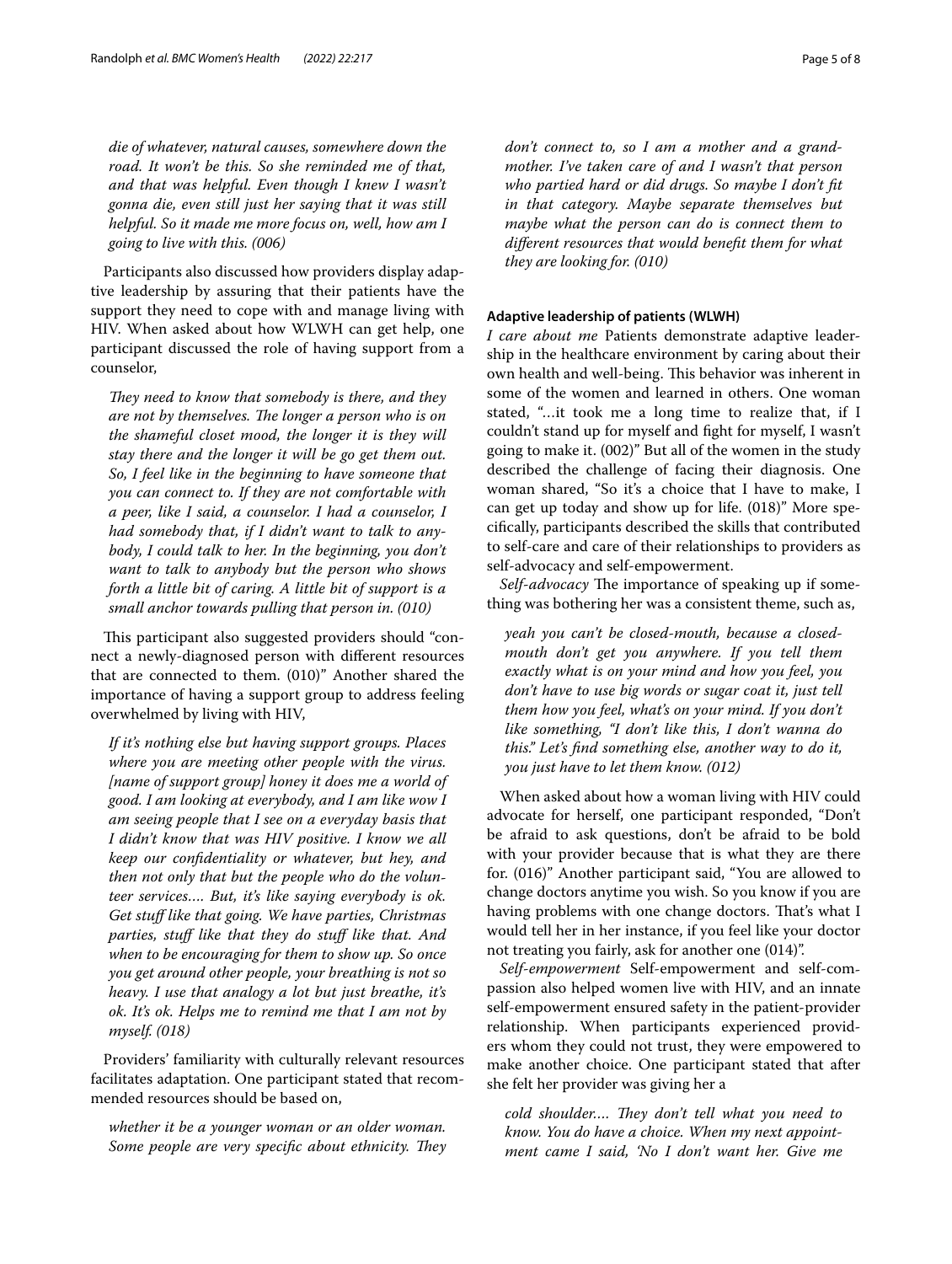*die of whatever, natural causes, somewhere down the road. It won't be this. So she reminded me of that, and that was helpful. Even though I knew I wasn't gonna die, even still just her saying that it was still helpful. So it made me more focus on, well, how am I going to live with this. (006)*

Participants also discussed how providers display adaptive leadership by assuring that their patients have the support they need to cope with and manage living with HIV. When asked about how WLWH can get help, one participant discussed the role of having support from a counselor,

*They need to know that somebody is there, and they are not by themselves. The longer a person who is on the shameful closet mood, the longer it is they will stay there and the longer it will be go get them out. So, I feel like in the beginning to have someone that you can connect to. If they are not comfortable with a peer, like I said, a counselor. I had a counselor, I had somebody that, if I didn't want to talk to anybody, I could talk to her. In the beginning, you don't want to talk to anybody but the person who shows forth a little bit of caring. A little bit of support is a small anchor towards pulling that person in. (010)*

This participant also suggested providers should "connect a newly-diagnosed person with diferent resources that are connected to them. (010)" Another shared the importance of having a support group to address feeling overwhelmed by living with HIV,

*If it's nothing else but having support groups. Places where you are meeting other people with the virus. [name of support group] honey it does me a world of good. I am looking at everybody, and I am like wow I am seeing people that I see on a everyday basis that I didn't know that was HIV positive. I know we all keep our confdentiality or whatever, but hey, and then not only that but the people who do the volunteer services…. But, it's like saying everybody is ok. Get stuf like that going. We have parties, Christmas parties, stuf like that they do stuf like that. And when to be encouraging for them to show up. So once you get around other people, your breathing is not so heavy. I use that analogy a lot but just breathe, it's ok. It's ok. Helps me to remind me that I am not by myself. (018)*

Providers' familiarity with culturally relevant resources facilitates adaptation. One participant stated that recommended resources should be based on,

*whether it be a younger woman or an older woman. Some people are very specific about ethnicity. They*  *don't connect to, so I am a mother and a grandmother. I've taken care of and I wasn't that person who partied hard or did drugs. So maybe I don't ft in that category. Maybe separate themselves but maybe what the person can do is connect them to diferent resources that would beneft them for what they are looking for. (010)*

#### **Adaptive leadership of patients (WLWH)**

*I care about me* Patients demonstrate adaptive leadership in the healthcare environment by caring about their own health and well-being. This behavior was inherent in some of the women and learned in others. One woman stated, "…it took me a long time to realize that, if I couldn't stand up for myself and fght for myself, I wasn't going to make it. (002)" But all of the women in the study described the challenge of facing their diagnosis. One woman shared, "So it's a choice that I have to make, I can get up today and show up for life. (018)" More specifcally, participants described the skills that contributed to self-care and care of their relationships to providers as self-advocacy and self-empowerment.

*Self-advocacy* The importance of speaking up if something was bothering her was a consistent theme, such as,

*yeah you can't be closed-mouth, because a closedmouth don't get you anywhere. If you tell them exactly what is on your mind and how you feel, you don't have to use big words or sugar coat it, just tell them how you feel, what's on your mind. If you don't like something, "I don't like this, I don't wanna do this." Let's fnd something else, another way to do it, you just have to let them know. (012)*

When asked about how a woman living with HIV could advocate for herself, one participant responded, "Don't be afraid to ask questions, don't be afraid to be bold with your provider because that is what they are there for. (016)" Another participant said, "You are allowed to change doctors anytime you wish. So you know if you are having problems with one change doctors. That's what I would tell her in her instance, if you feel like your doctor not treating you fairly, ask for another one (014)".

*Self-empowerment* Self-empowerment and self-compassion also helped women live with HIV, and an innate self-empowerment ensured safety in the patient-provider relationship. When participants experienced providers whom they could not trust, they were empowered to make another choice. One participant stated that after she felt her provider was giving her a

cold shoulder.... They don't tell what you need to *know. You do have a choice. When my next appointment came I said, 'No I don't want her. Give me*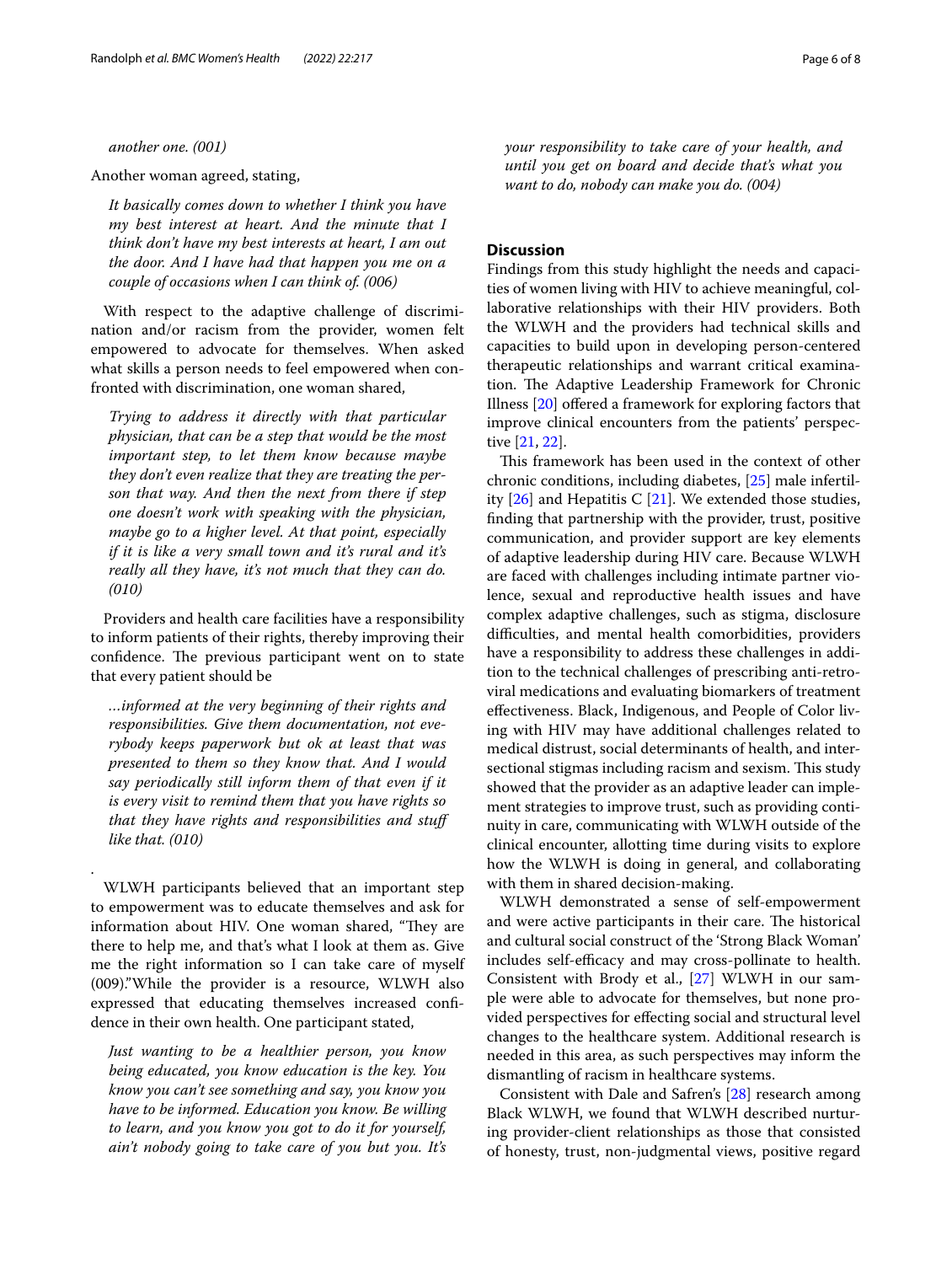*another one. (001)*

Another woman agreed, stating,

*It basically comes down to whether I think you have my best interest at heart. And the minute that I think don't have my best interests at heart, I am out the door. And I have had that happen you me on a couple of occasions when I can think of. (006)*

With respect to the adaptive challenge of discrimination and/or racism from the provider, women felt empowered to advocate for themselves. When asked what skills a person needs to feel empowered when confronted with discrimination, one woman shared,

*Trying to address it directly with that particular physician, that can be a step that would be the most important step, to let them know because maybe they don't even realize that they are treating the person that way. And then the next from there if step one doesn't work with speaking with the physician, maybe go to a higher level. At that point, especially if it is like a very small town and it's rural and it's really all they have, it's not much that they can do. (010)*

Providers and health care facilities have a responsibility to inform patients of their rights, thereby improving their confidence. The previous participant went on to state that every patient should be

*…informed at the very beginning of their rights and responsibilities. Give them documentation, not everybody keeps paperwork but ok at least that was presented to them so they know that. And I would say periodically still inform them of that even if it is every visit to remind them that you have rights so that they have rights and responsibilities and stuf like that. (010)*

WLWH participants believed that an important step to empowerment was to educate themselves and ask for information about HIV. One woman shared, "They are there to help me, and that's what I look at them as. Give me the right information so I can take care of myself (009)."While the provider is a resource, WLWH also expressed that educating themselves increased confdence in their own health. One participant stated,

.

*Just wanting to be a healthier person, you know being educated, you know education is the key. You know you can't see something and say, you know you have to be informed. Education you know. Be willing to learn, and you know you got to do it for yourself, ain't nobody going to take care of you but you. It's*  *your responsibility to take care of your health, and until you get on board and decide that's what you want to do, nobody can make you do. (004)*

#### **Discussion**

Findings from this study highlight the needs and capacities of women living with HIV to achieve meaningful, collaborative relationships with their HIV providers. Both the WLWH and the providers had technical skills and capacities to build upon in developing person-centered therapeutic relationships and warrant critical examination. The Adaptive Leadership Framework for Chronic Illness [\[20](#page-7-17)] ofered a framework for exploring factors that improve clinical encounters from the patients' perspective [\[21,](#page-7-18) [22](#page-7-19)].

This framework has been used in the context of other chronic conditions, including diabetes, [\[25](#page-7-22)] male infertility  $[26]$  and Hepatitis C  $[21]$  $[21]$ . We extended those studies, fnding that partnership with the provider, trust, positive communication, and provider support are key elements of adaptive leadership during HIV care. Because WLWH are faced with challenges including intimate partner violence, sexual and reproductive health issues and have complex adaptive challenges, such as stigma, disclosure difficulties, and mental health comorbidities, providers have a responsibility to address these challenges in addition to the technical challenges of prescribing anti-retroviral medications and evaluating biomarkers of treatment efectiveness. Black, Indigenous, and People of Color living with HIV may have additional challenges related to medical distrust, social determinants of health, and intersectional stigmas including racism and sexism. This study showed that the provider as an adaptive leader can implement strategies to improve trust, such as providing continuity in care, communicating with WLWH outside of the clinical encounter, allotting time during visits to explore how the WLWH is doing in general, and collaborating with them in shared decision-making.

WLWH demonstrated a sense of self-empowerment and were active participants in their care. The historical and cultural social construct of the 'Strong Black Woman' includes self-efficacy and may cross-pollinate to health. Consistent with Brody et al., [\[27](#page-7-24)] WLWH in our sample were able to advocate for themselves, but none provided perspectives for efecting social and structural level changes to the healthcare system. Additional research is needed in this area, as such perspectives may inform the dismantling of racism in healthcare systems.

Consistent with Dale and Safren's [\[28](#page-7-25)] research among Black WLWH, we found that WLWH described nurturing provider-client relationships as those that consisted of honesty, trust, non-judgmental views, positive regard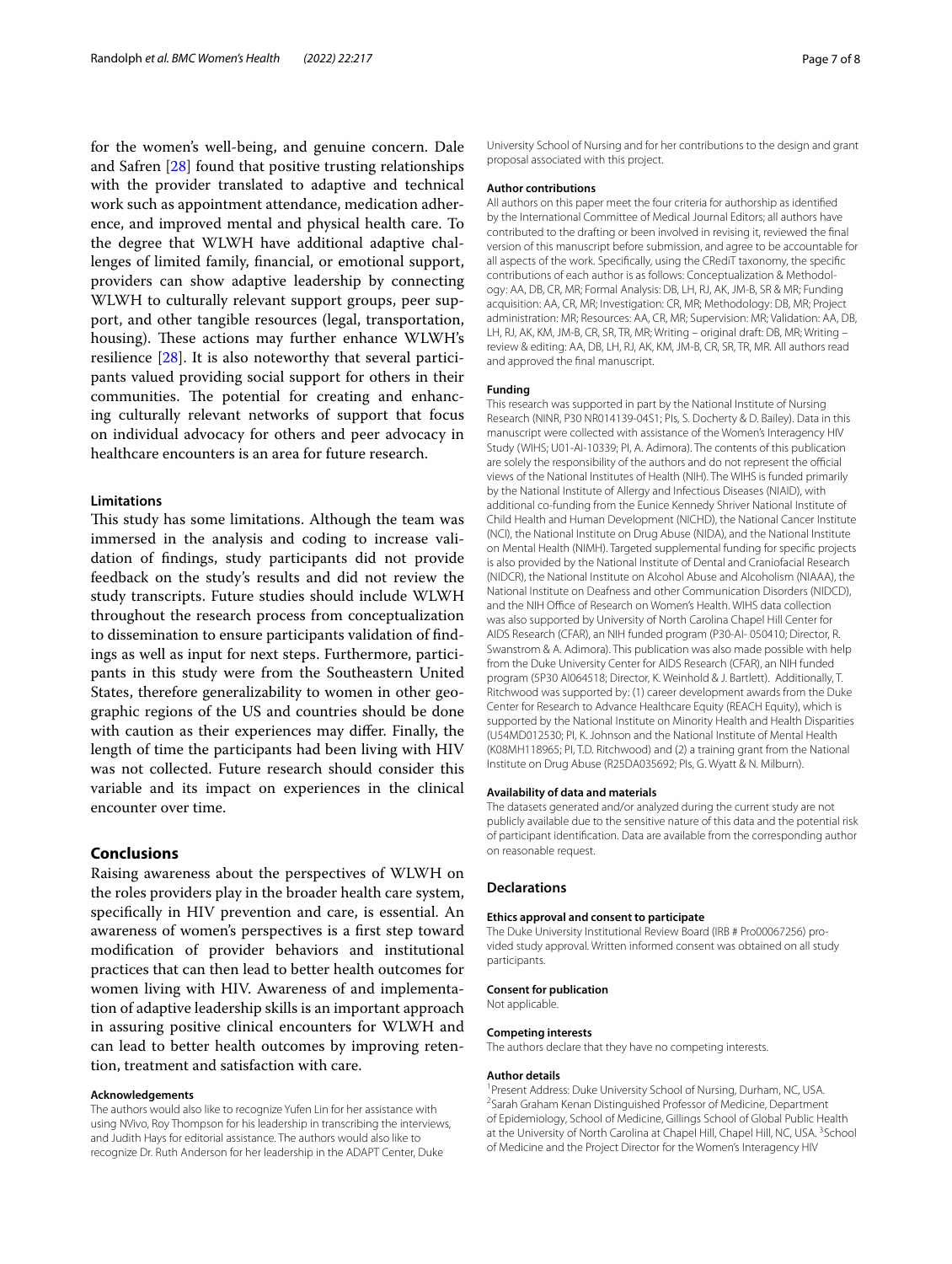for the women's well-being, and genuine concern. Dale and Safren [[28\]](#page-7-25) found that positive trusting relationships with the provider translated to adaptive and technical work such as appointment attendance, medication adherence, and improved mental and physical health care. To the degree that WLWH have additional adaptive challenges of limited family, fnancial, or emotional support, providers can show adaptive leadership by connecting WLWH to culturally relevant support groups, peer support, and other tangible resources (legal, transportation, housing). These actions may further enhance WLWH's resilience [[28\]](#page-7-25). It is also noteworthy that several participants valued providing social support for others in their communities. The potential for creating and enhancing culturally relevant networks of support that focus on individual advocacy for others and peer advocacy in healthcare encounters is an area for future research.

#### **Limitations**

This study has some limitations. Although the team was immersed in the analysis and coding to increase validation of fndings, study participants did not provide feedback on the study's results and did not review the study transcripts. Future studies should include WLWH throughout the research process from conceptualization to dissemination to ensure participants validation of fndings as well as input for next steps. Furthermore, participants in this study were from the Southeastern United States, therefore generalizability to women in other geographic regions of the US and countries should be done with caution as their experiences may difer. Finally, the length of time the participants had been living with HIV was not collected. Future research should consider this variable and its impact on experiences in the clinical encounter over time.

#### **Conclusions**

Raising awareness about the perspectives of WLWH on the roles providers play in the broader health care system, specifcally in HIV prevention and care, is essential. An awareness of women's perspectives is a frst step toward modifcation of provider behaviors and institutional practices that can then lead to better health outcomes for women living with HIV. Awareness of and implementation of adaptive leadership skills is an important approach in assuring positive clinical encounters for WLWH and can lead to better health outcomes by improving retention, treatment and satisfaction with care.

#### **Acknowledgements**

The authors would also like to recognize Yufen Lin for her assistance with using NVivo, Roy Thompson for his leadership in transcribing the interviews, and Judith Hays for editorial assistance. The authors would also like to recognize Dr. Ruth Anderson for her leadership in the ADAPT Center, Duke

University School of Nursing and for her contributions to the design and grant proposal associated with this project.

#### **Author contributions**

All authors on this paper meet the four criteria for authorship as identifed by the International Committee of Medical Journal Editors; all authors have contributed to the drafting or been involved in revising it, reviewed the fnal version of this manuscript before submission, and agree to be accountable for all aspects of the work. Specifcally, using the CRediT taxonomy, the specifc contributions of each author is as follows: Conceptualization & Methodol‑ ogy: AA, DB, CR, MR; Formal Analysis: DB, LH, RJ, AK, JM-B, SR & MR; Funding acquisition: AA, CR, MR; Investigation: CR, MR; Methodology: DB, MR; Project administration: MR; Resources: AA, CR, MR; Supervision: MR; Validation: AA, DB, LH, RJ, AK, KM, JM-B, CR, SR, TR, MR; Writing – original draft: DB, MR; Writing – review & editing: AA, DB, LH, RJ, AK, KM, JM-B, CR, SR, TR, MR. All authors read and approved the fnal manuscript.

#### **Funding**

This research was supported in part by the National Institute of Nursing Research (NINR, P30 NR014139-04S1; PIs, S. Docherty & D. Bailey). Data in this manuscript were collected with assistance of the Women's Interagency HIV Study (WIHS; U01-AI-10339; PI, A. Adimora). The contents of this publication are solely the responsibility of the authors and do not represent the official views of the National Institutes of Health (NIH). The WIHS is funded primarily by the National Institute of Allergy and Infectious Diseases (NIAID), with additional co-funding from the Eunice Kennedy Shriver National Institute of Child Health and Human Development (NICHD), the National Cancer Institute (NCI), the National Institute on Drug Abuse (NIDA), and the National Institute on Mental Health (NIMH). Targeted supplemental funding for specifc projects is also provided by the National Institute of Dental and Craniofacial Research (NIDCR), the National Institute on Alcohol Abuse and Alcoholism (NIAAA), the National Institute on Deafness and other Communication Disorders (NIDCD), and the NIH Office of Research on Women's Health. WIHS data collection was also supported by University of North Carolina Chapel Hill Center for AIDS Research (CFAR), an NIH funded program (P30-AI- 050410; Director, R. Swanstrom & A. Adimora). This publication was also made possible with help from the Duke University Center for AIDS Research (CFAR), an NIH funded program (5P30 AI064518; Director, K. Weinhold & J. Bartlett). Additionally, T. Ritchwood was supported by: (1) career development awards from the Duke Center for Research to Advance Healthcare Equity (REACH Equity), which is supported by the National Institute on Minority Health and Health Disparities (U54MD012530; PI, K. Johnson and the National Institute of Mental Health (K08MH118965; PI, T.D. Ritchwood) and (2) a training grant from the National Institute on Drug Abuse (R25DA035692; PIs, G. Wyatt & N. Milburn).

#### **Availability of data and materials**

The datasets generated and/or analyzed during the current study are not publicly available due to the sensitive nature of this data and the potential risk of participant identifcation. Data are available from the corresponding author on reasonable request.

#### **Declarations**

#### **Ethics approval and consent to participate**

The Duke University Institutional Review Board (IRB # Pro00067256) provided study approval. Written informed consent was obtained on all study participants.

#### **Consent for publication**

Not applicable.

#### **Competing interests**

The authors declare that they have no competing interests.

#### **Author details**

<sup>1</sup> Present Address: Duke University School of Nursing, Durham, NC, USA.<br><sup>2</sup>Sarab Grabam Kopan Distinguished Prefessor of Modicine, Department <sup>2</sup> Sarah Graham Kenan Distinguished Professor of Medicine, Department of Epidemiology, School of Medicine, Gillings School of Global Public Health at the University of North Carolina at Chapel Hill, Chapel Hill, NC, USA. <sup>3</sup> School of Medicine and the Project Director for the Women's Interagency HIV